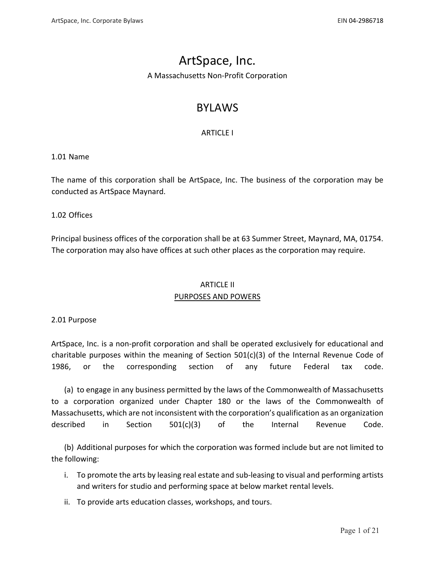# ArtSpace, Inc.

A Massachusetts Non-Profit Corporation

# BYLAWS

## ARTICLE I

#### 1.01 Name

The name of this corporation shall be ArtSpace, Inc. The business of the corporation may be conducted as ArtSpace Maynard.

1.02 Offices

Principal business offices of the corporation shall be at 63 Summer Street, Maynard, MA, 01754. The corporation may also have offices at such other places as the corporation may require.

# ARTICLE II

# PURPOSES AND POWERS

2.01 Purpose

ArtSpace, Inc. is a non-profit corporation and shall be operated exclusively for educational and charitable purposes within the meaning of Section 501(c)(3) of the Internal Revenue Code of 1986, or the corresponding section of any future Federal tax code.

(a) to engage in any business permitted by the laws of the Commonwealth of Massachusetts to a corporation organized under Chapter 180 or the laws of the Commonwealth of Massachusetts, which are not inconsistent with the corporation's qualification as an organization described in Section 501(c)(3) of the Internal Revenue Code.

(b) Additional purposes for which the corporation was formed include but are not limited to the following:

- i. To promote the arts by leasing real estate and sub-leasing to visual and performing artists and writers for studio and performing space at below market rental levels.
- ii. To provide arts education classes, workshops, and tours.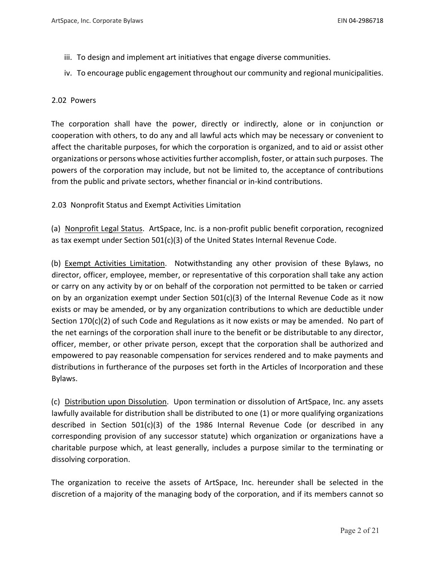- iii. To design and implement art initiatives that engage diverse communities.
- iv. To encourage public engagement throughout our community and regional municipalities.

#### 2.02 Powers

The corporation shall have the power, directly or indirectly, alone or in conjunction or cooperation with others, to do any and all lawful acts which may be necessary or convenient to affect the charitable purposes, for which the corporation is organized, and to aid or assist other organizations or persons whose activities further accomplish, foster, or attain such purposes. The powers of the corporation may include, but not be limited to, the acceptance of contributions from the public and private sectors, whether financial or in-kind contributions.

#### 2.03 Nonprofit Status and Exempt Activities Limitation

(a) Nonprofit Legal Status. ArtSpace, Inc. is a non-profit public benefit corporation, recognized as tax exempt under Section 501(c)(3) of the United States Internal Revenue Code.

(b) Exempt Activities Limitation. Notwithstanding any other provision of these Bylaws, no director, officer, employee, member, or representative of this corporation shall take any action or carry on any activity by or on behalf of the corporation not permitted to be taken or carried on by an organization exempt under Section  $501(c)(3)$  of the Internal Revenue Code as it now exists or may be amended, or by any organization contributions to which are deductible under Section 170(c)(2) of such Code and Regulations as it now exists or may be amended. No part of the net earnings of the corporation shall inure to the benefit or be distributable to any director, officer, member, or other private person, except that the corporation shall be authorized and empowered to pay reasonable compensation for services rendered and to make payments and distributions in furtherance of the purposes set forth in the Articles of Incorporation and these Bylaws.

(c) Distribution upon Dissolution. Upon termination or dissolution of ArtSpace, Inc. any assets lawfully available for distribution shall be distributed to one (1) or more qualifying organizations described in Section 501(c)(3) of the 1986 Internal Revenue Code (or described in any corresponding provision of any successor statute) which organization or organizations have a charitable purpose which, at least generally, includes a purpose similar to the terminating or dissolving corporation.

The organization to receive the assets of ArtSpace, Inc. hereunder shall be selected in the discretion of a majority of the managing body of the corporation, and if its members cannot so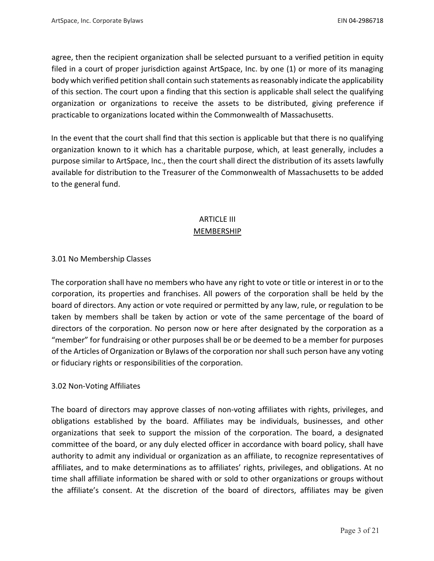agree, then the recipient organization shall be selected pursuant to a verified petition in equity filed in a court of proper jurisdiction against ArtSpace, Inc. by one (1) or more of its managing body which verified petition shall contain such statements as reasonably indicate the applicability of this section. The court upon a finding that this section is applicable shall select the qualifying organization or organizations to receive the assets to be distributed, giving preference if practicable to organizations located within the Commonwealth of Massachusetts.

In the event that the court shall find that this section is applicable but that there is no qualifying organization known to it which has a charitable purpose, which, at least generally, includes a purpose similar to ArtSpace, Inc., then the court shall direct the distribution of its assets lawfully available for distribution to the Treasurer of the Commonwealth of Massachusetts to be added to the general fund.

# ARTICLE III MEMBERSHIP

## 3.01 No Membership Classes

The corporation shall have no members who have any right to vote or title or interest in or to the corporation, its properties and franchises. All powers of the corporation shall be held by the board of directors. Any action or vote required or permitted by any law, rule, or regulation to be taken by members shall be taken by action or vote of the same percentage of the board of directors of the corporation. No person now or here after designated by the corporation as a "member" for fundraising or other purposes shall be or be deemed to be a member for purposes of the Articles of Organization or Bylaws of the corporation nor shall such person have any voting or fiduciary rights or responsibilities of the corporation.

## 3.02 Non-Voting Affiliates

The board of directors may approve classes of non-voting affiliates with rights, privileges, and obligations established by the board. Affiliates may be individuals, businesses, and other organizations that seek to support the mission of the corporation. The board, a designated committee of the board, or any duly elected officer in accordance with board policy, shall have authority to admit any individual or organization as an affiliate, to recognize representatives of affiliates, and to make determinations as to affiliates' rights, privileges, and obligations. At no time shall affiliate information be shared with or sold to other organizations or groups without the affiliate's consent. At the discretion of the board of directors, affiliates may be given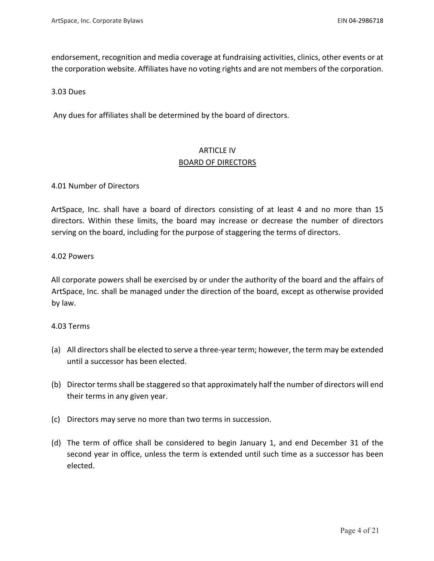endorsement, recognition and media coverage at fundraising activities, clinics, other events or at the corporation website. Affiliates have no voting rights and are not members of the corporation.

3.03 Dues

Any dues for affiliates shall be determined by the board of directors.

# ARTICLE IV BOARD OF DIRECTORS

#### 4.01 Number of Directors

ArtSpace, Inc. shall have a board of directors consisting of at least 4 and no more than 15 directors. Within these limits, the board may increase or decrease the number of directors serving on the board, including for the purpose of staggering the terms of directors.

#### 4.02 Powers

All corporate powers shall be exercised by or under the authority of the board and the affairs of ArtSpace, Inc. shall be managed under the direction of the board, except as otherwise provided by law.

#### 4.03 Terms

- (a) All directors shall be elected to serve a three-year term; however, the term may be extended until a successor has been elected.
- (b) Director terms shall be staggered so that approximately half the number of directors will end their terms in any given year.
- (c) Directors may serve no more than two terms in succession.
- (d) The term of office shall be considered to begin January 1, and end December 31 of the second year in office, unless the term is extended until such time as a successor has been elected.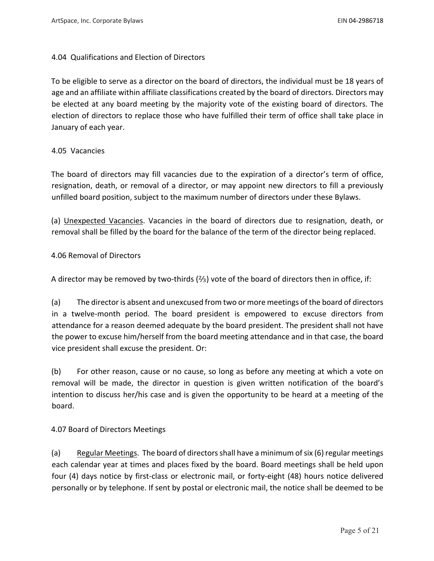#### 4.04 Qualifications and Election of Directors

To be eligible to serve as a director on the board of directors, the individual must be 18 years of age and an affiliate within affiliate classifications created by the board of directors. Directors may be elected at any board meeting by the majority vote of the existing board of directors. The election of directors to replace those who have fulfilled their term of office shall take place in January of each year.

#### 4.05 Vacancies

The board of directors may fill vacancies due to the expiration of a director's term of office, resignation, death, or removal of a director, or may appoint new directors to fill a previously unfilled board position, subject to the maximum number of directors under these Bylaws.

(a) Unexpected Vacancies. Vacancies in the board of directors due to resignation, death, or removal shall be filled by the board for the balance of the term of the director being replaced.

## 4.06 Removal of Directors

A director may be removed by two-thirds (⅔) vote of the board of directors then in office, if:

(a) The director is absent and unexcused from two or more meetings of the board of directors in a twelve-month period. The board president is empowered to excuse directors from attendance for a reason deemed adequate by the board president. The president shall not have the power to excuse him/herself from the board meeting attendance and in that case, the board vice president shall excuse the president. Or:

(b) For other reason, cause or no cause, so long as before any meeting at which a vote on removal will be made, the director in question is given written notification of the board's intention to discuss her/his case and is given the opportunity to be heard at a meeting of the board.

4.07 Board of Directors Meetings

(a) Regular Meetings. The board of directors shall have a minimum of six (6) regular meetings each calendar year at times and places fixed by the board. Board meetings shall be held upon four (4) days notice by first-class or electronic mail, or forty-eight (48) hours notice delivered personally or by telephone. If sent by postal or electronic mail, the notice shall be deemed to be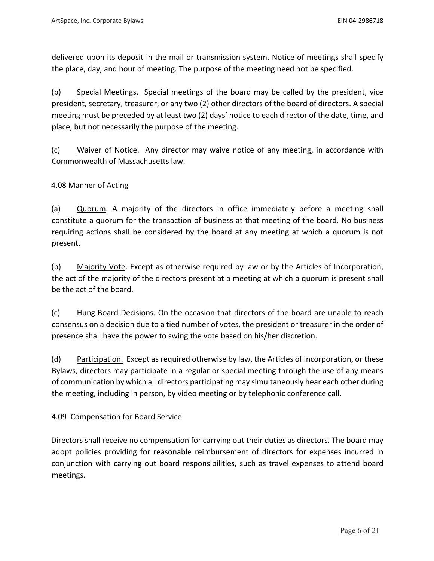delivered upon its deposit in the mail or transmission system. Notice of meetings shall specify the place, day, and hour of meeting. The purpose of the meeting need not be specified.

(b) Special Meetings. Special meetings of the board may be called by the president, vice president, secretary, treasurer, or any two (2) other directors of the board of directors. A special meeting must be preceded by at least two (2) days' notice to each director of the date, time, and place, but not necessarily the purpose of the meeting.

(c) Waiver of Notice. Any director may waive notice of any meeting, in accordance with Commonwealth of Massachusetts law.

## 4.08 Manner of Acting

(a) Quorum. A majority of the directors in office immediately before a meeting shall constitute a quorum for the transaction of business at that meeting of the board. No business requiring actions shall be considered by the board at any meeting at which a quorum is not present.

(b) Majority Vote. Except as otherwise required by law or by the Articles of Incorporation, the act of the majority of the directors present at a meeting at which a quorum is present shall be the act of the board.

(c) Hung Board Decisions. On the occasion that directors of the board are unable to reach consensus on a decision due to a tied number of votes, the president or treasurer in the order of presence shall have the power to swing the vote based on his/her discretion.

(d) Participation. Except as required otherwise by law, the Articles of Incorporation, or these Bylaws, directors may participate in a regular or special meeting through the use of any means of communication by which all directors participating may simultaneously hear each other during the meeting, including in person, by video meeting or by telephonic conference call.

## 4.09 Compensation for Board Service

Directors shall receive no compensation for carrying out their duties as directors. The board may adopt policies providing for reasonable reimbursement of directors for expenses incurred in conjunction with carrying out board responsibilities, such as travel expenses to attend board meetings.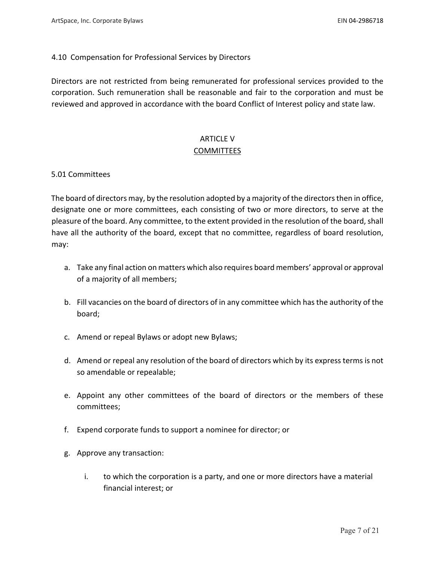#### 4.10 Compensation for Professional Services by Directors

Directors are not restricted from being remunerated for professional services provided to the corporation. Such remuneration shall be reasonable and fair to the corporation and must be reviewed and approved in accordance with the board Conflict of Interest policy and state law.

# **ARTICLE V**

## **COMMITTEES**

#### 5.01 Committees

The board of directors may, by the resolution adopted by a majority of the directors then in office, designate one or more committees, each consisting of two or more directors, to serve at the pleasure of the board. Any committee, to the extent provided in the resolution of the board, shall have all the authority of the board, except that no committee, regardless of board resolution, may:

- a. Take any final action on matters which also requires board members' approval or approval of a majority of all members;
- b. Fill vacancies on the board of directors of in any committee which has the authority of the board;
- c. Amend or repeal Bylaws or adopt new Bylaws;
- d. Amend or repeal any resolution of the board of directors which by its express terms is not so amendable or repealable;
- e. Appoint any other committees of the board of directors or the members of these committees;
- f. Expend corporate funds to support a nominee for director; or
- g. Approve any transaction:
	- i. to which the corporation is a party, and one or more directors have a material financial interest; or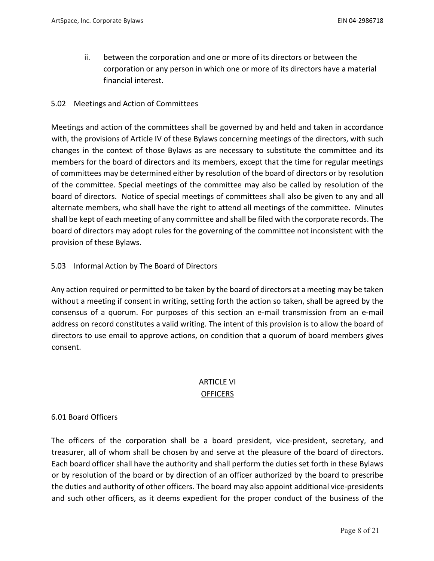ii. between the corporation and one or more of its directors or between the corporation or any person in which one or more of its directors have a material financial interest.

#### 5.02 Meetings and Action of Committees

Meetings and action of the committees shall be governed by and held and taken in accordance with, the provisions of Article IV of these Bylaws concerning meetings of the directors, with such changes in the context of those Bylaws as are necessary to substitute the committee and its members for the board of directors and its members, except that the time for regular meetings of committees may be determined either by resolution of the board of directors or by resolution of the committee. Special meetings of the committee may also be called by resolution of the board of directors. Notice of special meetings of committees shall also be given to any and all alternate members, who shall have the right to attend all meetings of the committee. Minutes shall be kept of each meeting of any committee and shall be filed with the corporate records. The board of directors may adopt rules for the governing of the committee not inconsistent with the provision of these Bylaws.

#### 5.03 Informal Action by The Board of Directors

Any action required or permitted to be taken by the board of directors at a meeting may be taken without a meeting if consent in writing, setting forth the action so taken, shall be agreed by the consensus of a quorum. For purposes of this section an e-mail transmission from an e-mail address on record constitutes a valid writing. The intent of this provision is to allow the board of directors to use email to approve actions, on condition that a quorum of board members gives consent.

## ARTICLE VI **OFFICERS**

## 6.01 Board Officers

The officers of the corporation shall be a board president, vice-president, secretary, and treasurer, all of whom shall be chosen by and serve at the pleasure of the board of directors. Each board officer shall have the authority and shall perform the duties set forth in these Bylaws or by resolution of the board or by direction of an officer authorized by the board to prescribe the duties and authority of other officers. The board may also appoint additional vice-presidents and such other officers, as it deems expedient for the proper conduct of the business of the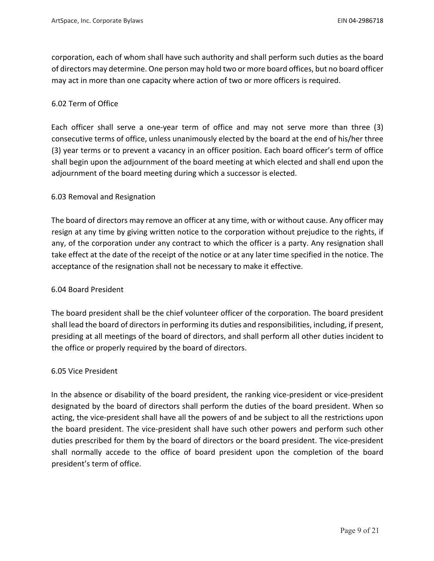corporation, each of whom shall have such authority and shall perform such duties as the board of directors may determine. One person may hold two or more board offices, but no board officer may act in more than one capacity where action of two or more officers is required.

## 6.02 Term of Office

Each officer shall serve a one-year term of office and may not serve more than three (3) consecutive terms of office, unless unanimously elected by the board at the end of his/her three (3) year terms or to prevent a vacancy in an officer position. Each board officer's term of office shall begin upon the adjournment of the board meeting at which elected and shall end upon the adjournment of the board meeting during which a successor is elected.

#### 6.03 Removal and Resignation

The board of directors may remove an officer at any time, with or without cause. Any officer may resign at any time by giving written notice to the corporation without prejudice to the rights, if any, of the corporation under any contract to which the officer is a party. Any resignation shall take effect at the date of the receipt of the notice or at any later time specified in the notice. The acceptance of the resignation shall not be necessary to make it effective.

#### 6.04 Board President

The board president shall be the chief volunteer officer of the corporation. The board president shall lead the board of directors in performing its duties and responsibilities, including, if present, presiding at all meetings of the board of directors, and shall perform all other duties incident to the office or properly required by the board of directors.

#### 6.05 Vice President

In the absence or disability of the board president, the ranking vice-president or vice-president designated by the board of directors shall perform the duties of the board president. When so acting, the vice-president shall have all the powers of and be subject to all the restrictions upon the board president. The vice-president shall have such other powers and perform such other duties prescribed for them by the board of directors or the board president. The vice-president shall normally accede to the office of board president upon the completion of the board president's term of office.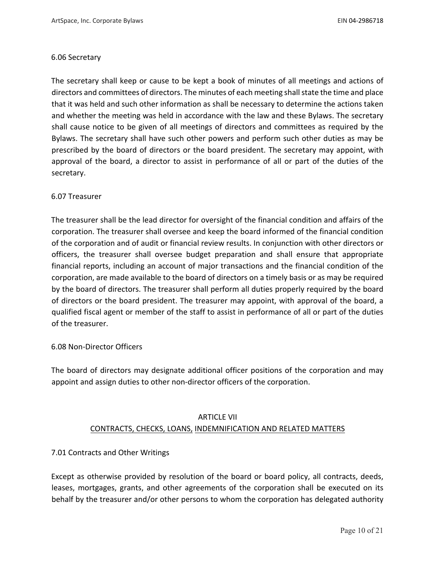#### 6.06 Secretary

The secretary shall keep or cause to be kept a book of minutes of all meetings and actions of directors and committees of directors. The minutes of each meeting shall state the time and place that it was held and such other information as shall be necessary to determine the actions taken and whether the meeting was held in accordance with the law and these Bylaws. The secretary shall cause notice to be given of all meetings of directors and committees as required by the Bylaws. The secretary shall have such other powers and perform such other duties as may be prescribed by the board of directors or the board president. The secretary may appoint, with approval of the board, a director to assist in performance of all or part of the duties of the secretary.

#### 6.07 Treasurer

The treasurer shall be the lead director for oversight of the financial condition and affairs of the corporation. The treasurer shall oversee and keep the board informed of the financial condition of the corporation and of audit or financial review results. In conjunction with other directors or officers, the treasurer shall oversee budget preparation and shall ensure that appropriate financial reports, including an account of major transactions and the financial condition of the corporation, are made available to the board of directors on a timely basis or as may be required by the board of directors. The treasurer shall perform all duties properly required by the board of directors or the board president. The treasurer may appoint, with approval of the board, a qualified fiscal agent or member of the staff to assist in performance of all or part of the duties of the treasurer.

#### 6.08 Non-Director Officers

The board of directors may designate additional officer positions of the corporation and may appoint and assign duties to other non-director officers of the corporation.

# ARTICLE VII CONTRACTS, CHECKS, LOANS, INDEMNIFICATION AND RELATED MATTERS

#### 7.01 Contracts and Other Writings

Except as otherwise provided by resolution of the board or board policy, all contracts, deeds, leases, mortgages, grants, and other agreements of the corporation shall be executed on its behalf by the treasurer and/or other persons to whom the corporation has delegated authority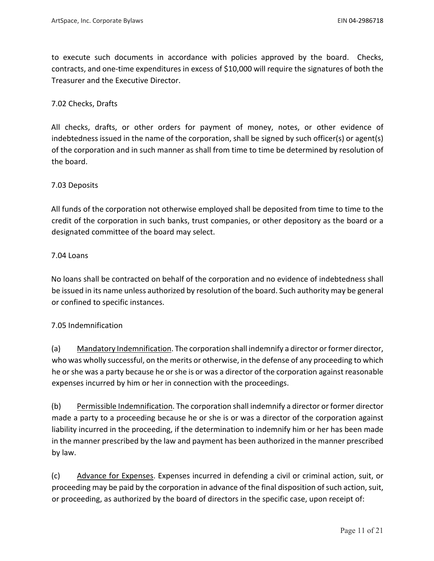to execute such documents in accordance with policies approved by the board. Checks, contracts, and one-time expenditures in excess of \$10,000 will require the signatures of both the Treasurer and the Executive Director.

#### 7.02 Checks, Drafts

All checks, drafts, or other orders for payment of money, notes, or other evidence of indebtedness issued in the name of the corporation, shall be signed by such officer(s) or agent(s) of the corporation and in such manner as shall from time to time be determined by resolution of the board.

#### 7.03 Deposits

All funds of the corporation not otherwise employed shall be deposited from time to time to the credit of the corporation in such banks, trust companies, or other depository as the board or a designated committee of the board may select.

#### 7.04 Loans

No loans shall be contracted on behalf of the corporation and no evidence of indebtedness shall be issued in its name unless authorized by resolution of the board. Such authority may be general or confined to specific instances.

## 7.05 Indemnification

(a) Mandatory Indemnification. The corporation shall indemnify a director or former director, who was wholly successful, on the merits or otherwise, in the defense of any proceeding to which he or she was a party because he or she is or was a director of the corporation against reasonable expenses incurred by him or her in connection with the proceedings.

(b) Permissible Indemnification. The corporation shall indemnify a director or former director made a party to a proceeding because he or she is or was a director of the corporation against liability incurred in the proceeding, if the determination to indemnify him or her has been made in the manner prescribed by the law and payment has been authorized in the manner prescribed by law.

(c) Advance for Expenses. Expenses incurred in defending a civil or criminal action, suit, or proceeding may be paid by the corporation in advance of the final disposition of such action, suit, or proceeding, as authorized by the board of directors in the specific case, upon receipt of: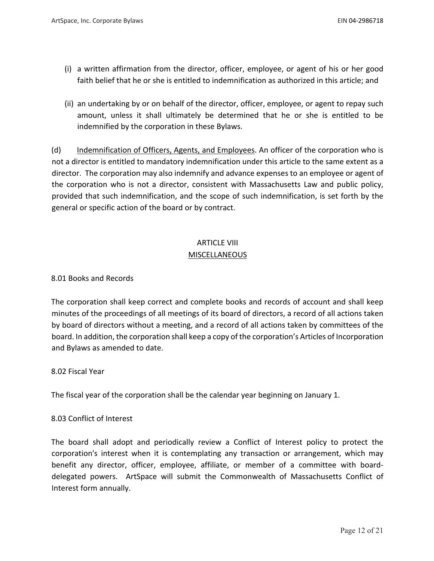- (i) a written affirmation from the director, officer, employee, or agent of his or her good faith belief that he or she is entitled to indemnification as authorized in this article; and
- (ii) an undertaking by or on behalf of the director, officer, employee, or agent to repay such amount, unless it shall ultimately be determined that he or she is entitled to be indemnified by the corporation in these Bylaws.

(d) Indemnification of Officers, Agents, and Employees. An officer of the corporation who is not a director is entitled to mandatory indemnification under this article to the same extent as a director. The corporation may also indemnify and advance expenses to an employee or agent of the corporation who is not a director, consistent with Massachusetts Law and public policy, provided that such indemnification, and the scope of such indemnification, is set forth by the general or specific action of the board or by contract.

# ARTICLE VIII **MISCELLANEOUS**

### 8.01 Books and Records

The corporation shall keep correct and complete books and records of account and shall keep minutes of the proceedings of all meetings of its board of directors, a record of all actions taken by board of directors without a meeting, and a record of all actions taken by committees of the board. In addition, the corporation shall keep a copy of the corporation's Articles of Incorporation and Bylaws as amended to date.

#### 8.02 Fiscal Year

The fiscal year of the corporation shall be the calendar year beginning on January 1.

#### 8.03 Conflict of Interest

The board shall adopt and periodically review a Conflict of Interest policy to protect the corporation's interest when it is contemplating any transaction or arrangement, which may benefit any director, officer, employee, affiliate, or member of a committee with boarddelegated powers. ArtSpace will submit the Commonwealth of Massachusetts Conflict of Interest form annually.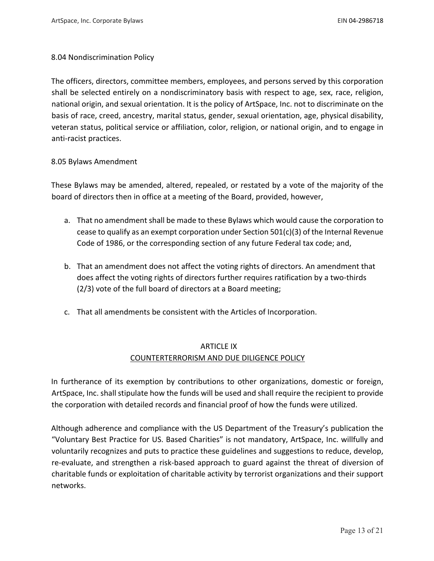#### 8.04 Nondiscrimination Policy

The officers, directors, committee members, employees, and persons served by this corporation shall be selected entirely on a nondiscriminatory basis with respect to age, sex, race, religion, national origin, and sexual orientation. It is the policy of ArtSpace, Inc. not to discriminate on the basis of race, creed, ancestry, marital status, gender, sexual orientation, age, physical disability, veteran status, political service or affiliation, color, religion, or national origin, and to engage in anti-racist practices.

#### 8.05 Bylaws Amendment

These Bylaws may be amended, altered, repealed, or restated by a vote of the majority of the board of directors then in office at a meeting of the Board, provided, however,

- a. That no amendment shall be made to these Bylaws which would cause the corporation to cease to qualify as an exempt corporation under Section  $501(c)(3)$  of the Internal Revenue Code of 1986, or the corresponding section of any future Federal tax code; and,
- b. That an amendment does not affect the voting rights of directors. An amendment that does affect the voting rights of directors further requires ratification by a two-thirds (2/3) vote of the full board of directors at a Board meeting;
- c. That all amendments be consistent with the Articles of Incorporation.

# ARTICLE IX COUNTERTERRORISM AND DUE DILIGENCE POLICY

In furtherance of its exemption by contributions to other organizations, domestic or foreign, ArtSpace, Inc. shall stipulate how the funds will be used and shall require the recipient to provide the corporation with detailed records and financial proof of how the funds were utilized.

Although adherence and compliance with the US Department of the Treasury's publication the "Voluntary Best Practice for US. Based Charities" is not mandatory, ArtSpace, Inc. willfully and voluntarily recognizes and puts to practice these guidelines and suggestions to reduce, develop, re-evaluate, and strengthen a risk-based approach to guard against the threat of diversion of charitable funds or exploitation of charitable activity by terrorist organizations and their support networks.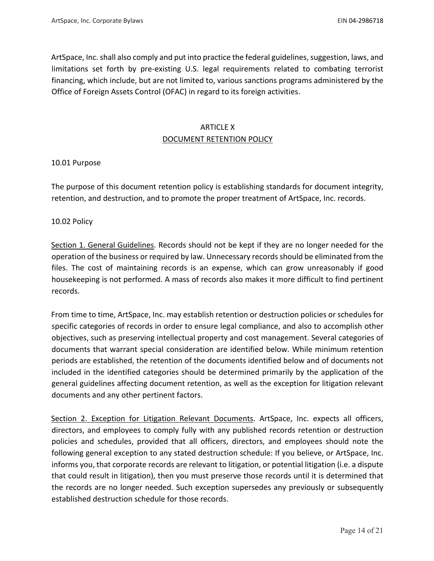ArtSpace, Inc. shall also comply and put into practice the federal guidelines, suggestion, laws, and limitations set forth by pre-existing U.S. legal requirements related to combating terrorist financing, which include, but are not limited to, various sanctions programs administered by the Office of Foreign Assets Control (OFAC) in regard to its foreign activities.

# ARTICLE X DOCUMENT RETENTION POLICY

#### 10.01 Purpose

The purpose of this document retention policy is establishing standards for document integrity, retention, and destruction, and to promote the proper treatment of ArtSpace, Inc. records.

#### 10.02 Policy

Section 1. General Guidelines. Records should not be kept if they are no longer needed for the operation of the business or required by law. Unnecessary records should be eliminated from the files. The cost of maintaining records is an expense, which can grow unreasonably if good housekeeping is not performed. A mass of records also makes it more difficult to find pertinent records.

From time to time, ArtSpace, Inc. may establish retention or destruction policies or schedules for specific categories of records in order to ensure legal compliance, and also to accomplish other objectives, such as preserving intellectual property and cost management. Several categories of documents that warrant special consideration are identified below. While minimum retention periods are established, the retention of the documents identified below and of documents not included in the identified categories should be determined primarily by the application of the general guidelines affecting document retention, as well as the exception for litigation relevant documents and any other pertinent factors.

Section 2. Exception for Litigation Relevant Documents. ArtSpace, Inc. expects all officers, directors, and employees to comply fully with any published records retention or destruction policies and schedules, provided that all officers, directors, and employees should note the following general exception to any stated destruction schedule: If you believe, or ArtSpace, Inc. informs you, that corporate records are relevant to litigation, or potential litigation (i.e. a dispute that could result in litigation), then you must preserve those records until it is determined that the records are no longer needed. Such exception supersedes any previously or subsequently established destruction schedule for those records.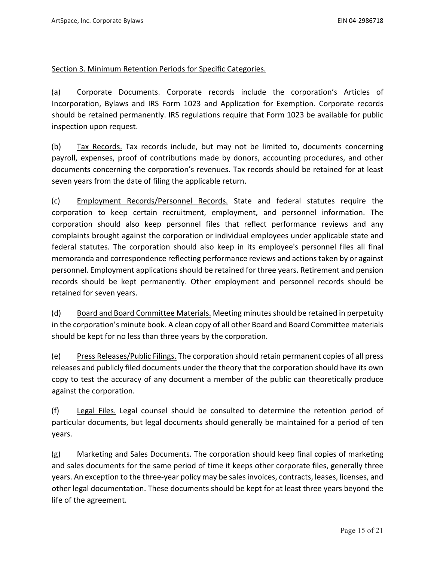## Section 3. Minimum Retention Periods for Specific Categories.

(a) Corporate Documents. Corporate records include the corporation's Articles of Incorporation, Bylaws and IRS Form 1023 and Application for Exemption. Corporate records should be retained permanently. IRS regulations require that Form 1023 be available for public inspection upon request.

(b) Tax Records. Tax records include, but may not be limited to, documents concerning payroll, expenses, proof of contributions made by donors, accounting procedures, and other documents concerning the corporation's revenues. Tax records should be retained for at least seven years from the date of filing the applicable return.

(c) Employment Records/Personnel Records. State and federal statutes require the corporation to keep certain recruitment, employment, and personnel information. The corporation should also keep personnel files that reflect performance reviews and any complaints brought against the corporation or individual employees under applicable state and federal statutes. The corporation should also keep in its employee's personnel files all final memoranda and correspondence reflecting performance reviews and actions taken by or against personnel. Employment applications should be retained for three years. Retirement and pension records should be kept permanently. Other employment and personnel records should be retained for seven years.

(d) Board and Board Committee Materials. Meeting minutes should be retained in perpetuity in the corporation's minute book. A clean copy of all other Board and Board Committee materials should be kept for no less than three years by the corporation.

(e) Press Releases/Public Filings. The corporation should retain permanent copies of all press releases and publicly filed documents under the theory that the corporation should have its own copy to test the accuracy of any document a member of the public can theoretically produce against the corporation.

(f) Legal Files. Legal counsel should be consulted to determine the retention period of particular documents, but legal documents should generally be maintained for a period of ten years.

(g) Marketing and Sales Documents. The corporation should keep final copies of marketing and sales documents for the same period of time it keeps other corporate files, generally three years. An exception to the three-year policy may be sales invoices, contracts, leases, licenses, and other legal documentation. These documents should be kept for at least three years beyond the life of the agreement.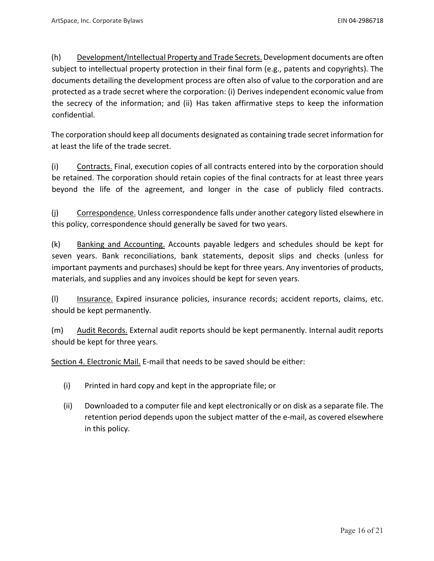(h) Development/Intellectual Property and Trade Secrets. Development documents are often subject to intellectual property protection in their final form (e.g., patents and copyrights). The documents detailing the development process are often also of value to the corporation and are protected as a trade secret where the corporation: (i) Derives independent economic value from the secrecy of the information; and (ii) Has taken affirmative steps to keep the information confidential.

The corporation should keep all documents designated as containing trade secret information for at least the life of the trade secret.

(i) Contracts. Final, execution copies of all contracts entered into by the corporation should be retained. The corporation should retain copies of the final contracts for at least three years beyond the life of the agreement, and longer in the case of publicly filed contracts.

(j) Correspondence. Unless correspondence falls under another category listed elsewhere in this policy, correspondence should generally be saved for two years.

(k) Banking and Accounting. Accounts payable ledgers and schedules should be kept for seven years. Bank reconciliations, bank statements, deposit slips and checks (unless for important payments and purchases) should be kept for three years. Any inventories of products, materials, and supplies and any invoices should be kept for seven years.

(l) Insurance. Expired insurance policies, insurance records; accident reports, claims, etc. should be kept permanently.

(m) Audit Records. External audit reports should be kept permanently. Internal audit reports should be kept for three years.

Section 4. Electronic Mail. E-mail that needs to be saved should be either:

- (i) Printed in hard copy and kept in the appropriate file; or
- (ii) Downloaded to a computer file and kept electronically or on disk as a separate file. The retention period depends upon the subject matter of the e-mail, as covered elsewhere in this policy.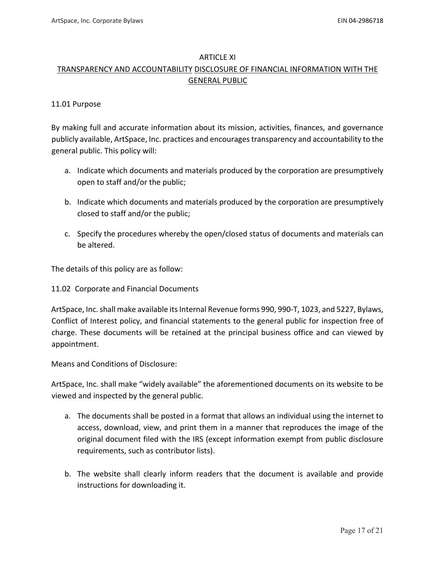#### ARTICLE XI

# TRANSPARENCY AND ACCOUNTABILITY DISCLOSURE OF FINANCIAL INFORMATION WITH THE GENERAL PUBLIC

#### 11.01 Purpose

By making full and accurate information about its mission, activities, finances, and governance publicly available, ArtSpace, Inc. practices and encourages transparency and accountability to the general public. This policy will:

- a. Indicate which documents and materials produced by the corporation are presumptively open to staff and/or the public;
- b. Indicate which documents and materials produced by the corporation are presumptively closed to staff and/or the public;
- c. Specify the procedures whereby the open/closed status of documents and materials can be altered.

The details of this policy are as follow:

#### 11.02 Corporate and Financial Documents

ArtSpace, Inc. shall make available its Internal Revenue forms 990, 990-T, 1023, and 5227, Bylaws, Conflict of Interest policy, and financial statements to the general public for inspection free of charge. These documents will be retained at the principal business office and can viewed by appointment.

Means and Conditions of Disclosure:

ArtSpace, Inc. shall make "widely available" the aforementioned documents on its website to be viewed and inspected by the general public.

- a. The documents shall be posted in a format that allows an individual using the internet to access, download, view, and print them in a manner that reproduces the image of the original document filed with the IRS (except information exempt from public disclosure requirements, such as contributor lists).
- b. The website shall clearly inform readers that the document is available and provide instructions for downloading it.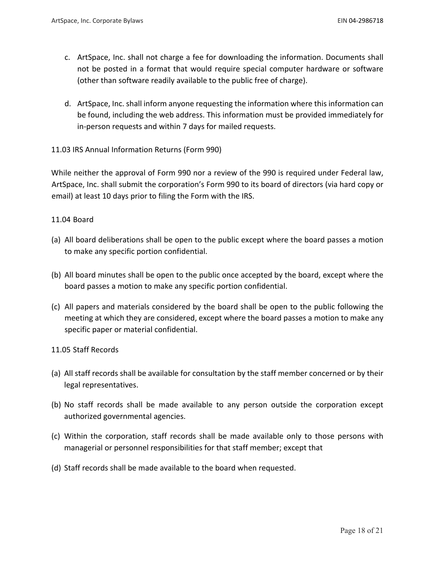- c. ArtSpace, Inc. shall not charge a fee for downloading the information. Documents shall not be posted in a format that would require special computer hardware or software (other than software readily available to the public free of charge).
- d. ArtSpace, Inc. shall inform anyone requesting the information where this information can be found, including the web address. This information must be provided immediately for in-person requests and within 7 days for mailed requests.

#### 11.03 IRS Annual Information Returns (Form 990)

While neither the approval of Form 990 nor a review of the 990 is required under Federal law, ArtSpace, Inc. shall submit the corporation's Form 990 to its board of directors (via hard copy or email) at least 10 days prior to filing the Form with the IRS.

#### 11.04 Board

- (a) All board deliberations shall be open to the public except where the board passes a motion to make any specific portion confidential.
- (b) All board minutes shall be open to the public once accepted by the board, except where the board passes a motion to make any specific portion confidential.
- (c) All papers and materials considered by the board shall be open to the public following the meeting at which they are considered, except where the board passes a motion to make any specific paper or material confidential.

#### 11.05 Staff Records

- (a) All staff records shall be available for consultation by the staff member concerned or by their legal representatives.
- (b) No staff records shall be made available to any person outside the corporation except authorized governmental agencies.
- (c) Within the corporation, staff records shall be made available only to those persons with managerial or personnel responsibilities for that staff member; except that
- (d) Staff records shall be made available to the board when requested.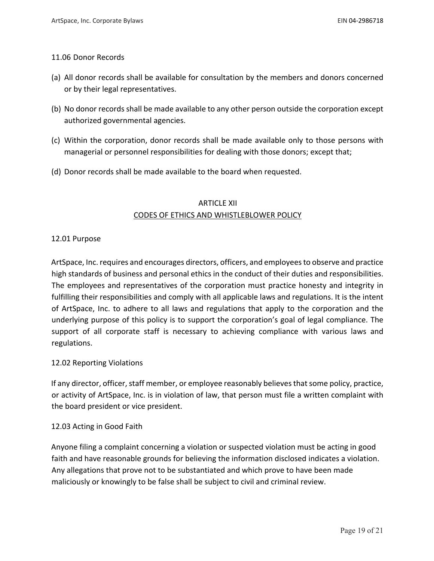#### 11.06 Donor Records

- (a) All donor records shall be available for consultation by the members and donors concerned or by their legal representatives.
- (b) No donor records shall be made available to any other person outside the corporation except authorized governmental agencies.
- (c) Within the corporation, donor records shall be made available only to those persons with managerial or personnel responsibilities for dealing with those donors; except that;
- (d) Donor records shall be made available to the board when requested.

# ARTICLE XII CODES OF ETHICS AND WHISTLEBLOWER POLICY

#### 12.01 Purpose

ArtSpace, Inc. requires and encourages directors, officers, and employees to observe and practice high standards of business and personal ethics in the conduct of their duties and responsibilities. The employees and representatives of the corporation must practice honesty and integrity in fulfilling their responsibilities and comply with all applicable laws and regulations. It is the intent of ArtSpace, Inc. to adhere to all laws and regulations that apply to the corporation and the underlying purpose of this policy is to support the corporation's goal of legal compliance. The support of all corporate staff is necessary to achieving compliance with various laws and regulations.

#### 12.02 Reporting Violations

If any director, officer, staff member, or employee reasonably believes that some policy, practice, or activity of ArtSpace, Inc. is in violation of law, that person must file a written complaint with the board president or vice president.

#### 12.03 Acting in Good Faith

Anyone filing a complaint concerning a violation or suspected violation must be acting in good faith and have reasonable grounds for believing the information disclosed indicates a violation. Any allegations that prove not to be substantiated and which prove to have been made maliciously or knowingly to be false shall be subject to civil and criminal review.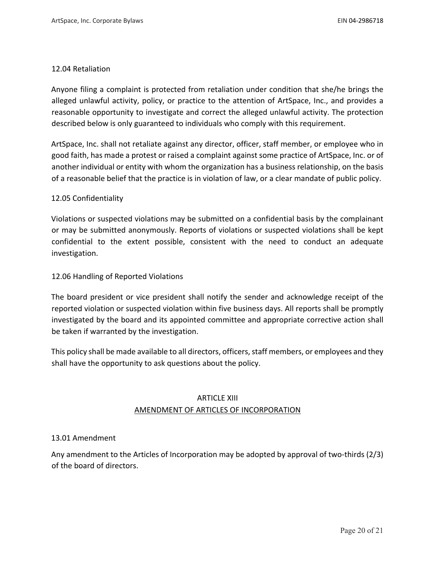#### 12.04 Retaliation

Anyone filing a complaint is protected from retaliation under condition that she/he brings the alleged unlawful activity, policy, or practice to the attention of ArtSpace, Inc., and provides a reasonable opportunity to investigate and correct the alleged unlawful activity. The protection described below is only guaranteed to individuals who comply with this requirement.

ArtSpace, Inc. shall not retaliate against any director, officer, staff member, or employee who in good faith, has made a protest or raised a complaint against some practice of ArtSpace, Inc. or of another individual or entity with whom the organization has a business relationship, on the basis of a reasonable belief that the practice is in violation of law, or a clear mandate of public policy.

#### 12.05 Confidentiality

Violations or suspected violations may be submitted on a confidential basis by the complainant or may be submitted anonymously. Reports of violations or suspected violations shall be kept confidential to the extent possible, consistent with the need to conduct an adequate investigation.

#### 12.06 Handling of Reported Violations

The board president or vice president shall notify the sender and acknowledge receipt of the reported violation or suspected violation within five business days. All reports shall be promptly investigated by the board and its appointed committee and appropriate corrective action shall be taken if warranted by the investigation.

This policy shall be made available to all directors, officers, staff members, or employees and they shall have the opportunity to ask questions about the policy.

# ARTICLE XIII AMENDMENT OF ARTICLES OF INCORPORATION

#### 13.01 Amendment

Any amendment to the Articles of Incorporation may be adopted by approval of two-thirds (2/3) of the board of directors.